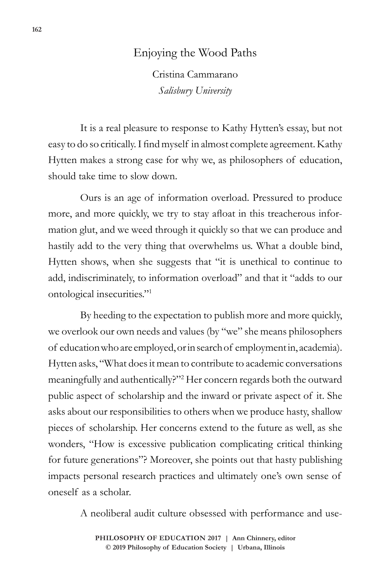## Enjoying the Wood Paths

Cristina Cammarano *Salisbury University*

It is a real pleasure to response to Kathy Hytten's essay, but not easy to do so critically. I find myself in almost complete agreement. Kathy Hytten makes a strong case for why we, as philosophers of education, should take time to slow down.

Ours is an age of information overload. Pressured to produce more, and more quickly, we try to stay afloat in this treacherous information glut, and we weed through it quickly so that we can produce and hastily add to the very thing that overwhelms us. What a double bind, Hytten shows, when she suggests that "it is unethical to continue to add, indiscriminately, to information overload" and that it "adds to our ontological insecurities."<sup>1</sup>

By heeding to the expectation to publish more and more quickly, we overlook our own needs and values (by "we" she means philosophers of education who are employed, or in search of employment in, academia). Hytten asks, "What does it mean to contribute to academic conversations meaningfully and authentically?"<sup>2</sup> Her concern regards both the outward public aspect of scholarship and the inward or private aspect of it. She asks about our responsibilities to others when we produce hasty, shallow pieces of scholarship. Her concerns extend to the future as well, as she wonders, "How is excessive publication complicating critical thinking for future generations"? Moreover, she points out that hasty publishing impacts personal research practices and ultimately one's own sense of oneself as a scholar.

A neoliberal audit culture obsessed with performance and use-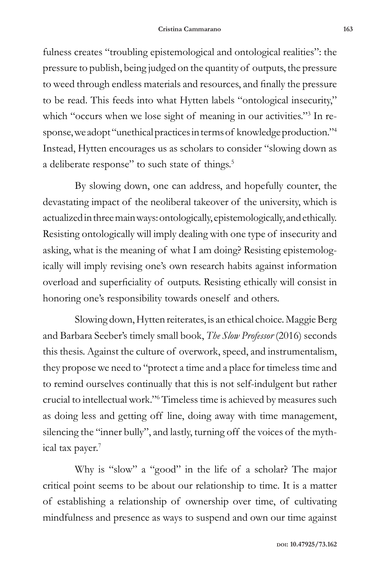fulness creates "troubling epistemological and ontological realities": the pressure to publish, being judged on the quantity of outputs, the pressure to weed through endless materials and resources, and finally the pressure to be read. This feeds into what Hytten labels "ontological insecurity," which "occurs when we lose sight of meaning in our activities."<sup>3</sup> In response, we adopt "unethical practices in terms of knowledge production."<sup>4</sup> Instead, Hytten encourages us as scholars to consider "slowing down as a deliberate response" to such state of things.<sup>5</sup>

By slowing down, one can address, and hopefully counter, the devastating impact of the neoliberal takeover of the university, which is actualized in three main ways: ontologically, epistemologically, and ethically. Resisting ontologically will imply dealing with one type of insecurity and asking, what is the meaning of what I am doing? Resisting epistemologically will imply revising one's own research habits against information overload and superficiality of outputs. Resisting ethically will consist in honoring one's responsibility towards oneself and others.

Slowing down, Hytten reiterates, is an ethical choice. Maggie Berg and Barbara Seeber's timely small book, *The Slow Professor* (2016) seconds this thesis. Against the culture of overwork, speed, and instrumentalism, they propose we need to "protect a time and a place for timeless time and to remind ourselves continually that this is not self-indulgent but rather crucial to intellectual work."6 Timeless time is achieved by measures such as doing less and getting off line, doing away with time management, silencing the "inner bully", and lastly, turning off the voices of the mythical tax payer.<sup>7</sup>

Why is "slow" a "good" in the life of a scholar? The major critical point seems to be about our relationship to time. It is a matter of establishing a relationship of ownership over time, of cultivating mindfulness and presence as ways to suspend and own our time against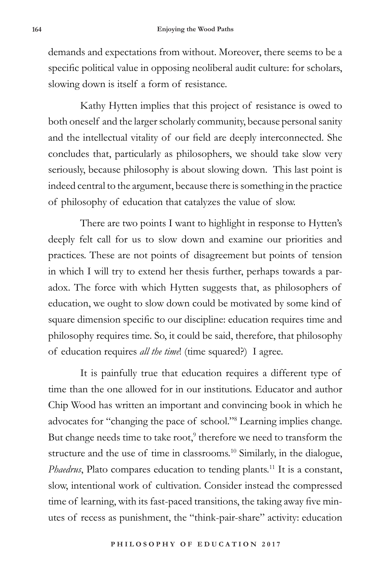demands and expectations from without. Moreover, there seems to be a specific political value in opposing neoliberal audit culture: for scholars, slowing down is itself a form of resistance.

Kathy Hytten implies that this project of resistance is owed to both oneself and the larger scholarly community, because personal sanity and the intellectual vitality of our field are deeply interconnected. She concludes that, particularly as philosophers, we should take slow very seriously, because philosophy is about slowing down. This last point is indeed central to the argument, because there is something in the practice of philosophy of education that catalyzes the value of slow.

There are two points I want to highlight in response to Hytten's deeply felt call for us to slow down and examine our priorities and practices. These are not points of disagreement but points of tension in which I will try to extend her thesis further, perhaps towards a paradox. The force with which Hytten suggests that, as philosophers of education, we ought to slow down could be motivated by some kind of square dimension specific to our discipline: education requires time and philosophy requires time. So, it could be said, therefore, that philosophy of education requires *all the time*! (time squared?) I agree.

It is painfully true that education requires a different type of time than the one allowed for in our institutions. Educator and author Chip Wood has written an important and convincing book in which he advocates for "changing the pace of school."<sup>8</sup> Learning implies change. But change needs time to take root,<sup>9</sup> therefore we need to transform the structure and the use of time in classrooms.<sup>10</sup> Similarly, in the dialogue, *Phaedrus*, Plato compares education to tending plants.<sup>11</sup> It is a constant, slow, intentional work of cultivation. Consider instead the compressed time of learning, with its fast-paced transitions, the taking away five minutes of recess as punishment, the "think-pair-share" activity: education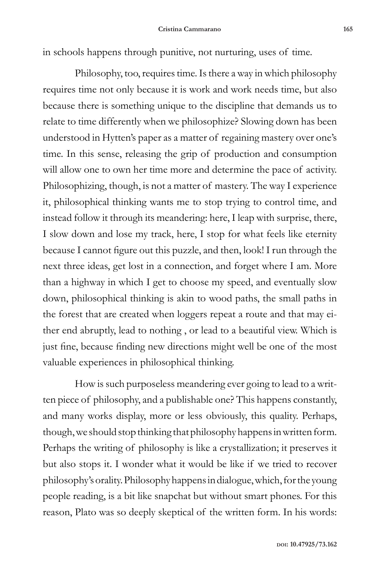in schools happens through punitive, not nurturing, uses of time.

Philosophy, too, requires time. Is there a way in which philosophy requires time not only because it is work and work needs time, but also because there is something unique to the discipline that demands us to relate to time differently when we philosophize? Slowing down has been understood in Hytten's paper as a matter of regaining mastery over one's time. In this sense, releasing the grip of production and consumption will allow one to own her time more and determine the pace of activity. Philosophizing, though, is not a matter of mastery. The way I experience it, philosophical thinking wants me to stop trying to control time, and instead follow it through its meandering: here, I leap with surprise, there, I slow down and lose my track, here, I stop for what feels like eternity because I cannot figure out this puzzle, and then, look! I run through the next three ideas, get lost in a connection, and forget where I am. More than a highway in which I get to choose my speed, and eventually slow down, philosophical thinking is akin to wood paths, the small paths in the forest that are created when loggers repeat a route and that may either end abruptly, lead to nothing , or lead to a beautiful view. Which is just fine, because finding new directions might well be one of the most valuable experiences in philosophical thinking.

How is such purposeless meandering ever going to lead to a written piece of philosophy, and a publishable one? This happens constantly, and many works display, more or less obviously, this quality. Perhaps, though, we should stop thinking that philosophy happens in written form. Perhaps the writing of philosophy is like a crystallization; it preserves it but also stops it. I wonder what it would be like if we tried to recover philosophy's orality. Philosophy happens in dialogue, which, for the young people reading, is a bit like snapchat but without smart phones. For this reason, Plato was so deeply skeptical of the written form. In his words: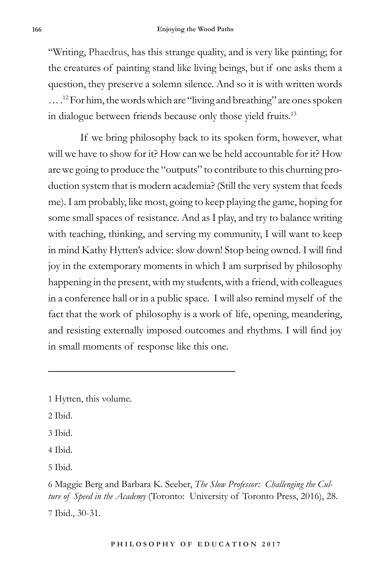"Writing, Phaedrus, has this strange quality, and is very like painting; for the creatures of painting stand like living beings, but if one asks them a question, they preserve a solemn silence. And so it is with written words … .12 For him, the words which are "living and breathing" are ones spoken in dialogue between friends because only those yield fruits.<sup>13</sup>

If we bring philosophy back to its spoken form, however, what will we have to show for it? How can we be held accountable for it? How are we going to produce the "outputs" to contribute to this churning production system that is modern academia? (Still the very system that feeds me). I am probably, like most, going to keep playing the game, hoping for some small spaces of resistance. And as I play, and try to balance writing with teaching, thinking, and serving my community, I will want to keep in mind Kathy Hytten's advice: slow down! Stop being owned. I will find joy in the extemporary moments in which I am surprised by philosophy happening in the present, with my students, with a friend, with colleagues in a conference hall or in a public space. I will also remind myself of the fact that the work of philosophy is a work of life, opening, meandering, and resisting externally imposed outcomes and rhythms. I will find joy in small moments of response like this one.

1 Hytten, this volume.

- 2 Ibid.
- 3 Ibid.
- 4 Ibid.

5 Ibid.

<sup>6</sup> Maggie Berg and Barbara K. Seeber, *The Slow Professor: Challenging the Culture of Speed in the Academy* (Toronto: University of Toronto Press, 2016), 28. 7 Ibid., 30-31.